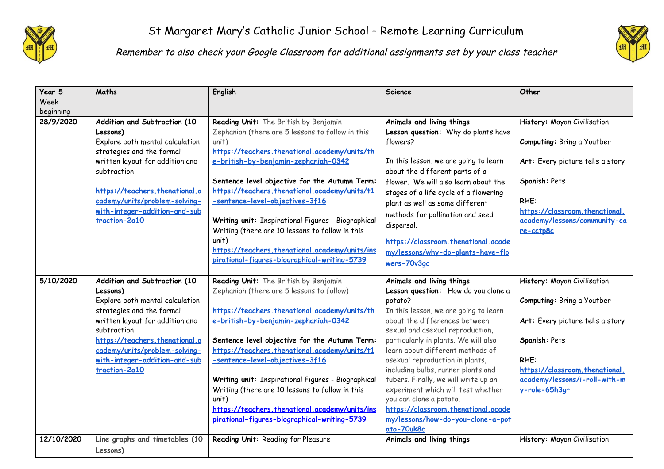



Remember to also check your Google Classroom for additional assignments set by your class teacher

| Year 5<br>Week | Maths                                                                                                                                                                                                                                                                           | English                                                                                                                                                                                                                                                                                                                                                                                                                                                                                                                                              | <b>Science</b>                                                                                                                                                                                                                                                                                                                                                                                                                                                                                                                                    | Other                                                                                                                                                                                                      |
|----------------|---------------------------------------------------------------------------------------------------------------------------------------------------------------------------------------------------------------------------------------------------------------------------------|------------------------------------------------------------------------------------------------------------------------------------------------------------------------------------------------------------------------------------------------------------------------------------------------------------------------------------------------------------------------------------------------------------------------------------------------------------------------------------------------------------------------------------------------------|---------------------------------------------------------------------------------------------------------------------------------------------------------------------------------------------------------------------------------------------------------------------------------------------------------------------------------------------------------------------------------------------------------------------------------------------------------------------------------------------------------------------------------------------------|------------------------------------------------------------------------------------------------------------------------------------------------------------------------------------------------------------|
| beginning      |                                                                                                                                                                                                                                                                                 |                                                                                                                                                                                                                                                                                                                                                                                                                                                                                                                                                      |                                                                                                                                                                                                                                                                                                                                                                                                                                                                                                                                                   |                                                                                                                                                                                                            |
| 28/9/2020      | Addition and Subtraction (10<br>Lessons)<br>Explore both mental calculation<br>strategies and the formal<br>written layout for addition and<br>subtraction<br>https://teachers.thenational.a<br>cademy/units/problem-solving-<br>with-integer-addition-and-sub<br>traction-2a10 | Reading Unit: The British by Benjamin<br>Zephaniah (there are 5 lessons to follow in this<br>unit)<br>https://teachers.thenational.academy/units/th<br>e-british-by-benjamin-zephaniah-0342<br>Sentence level objective for the Autumn Term:<br>https://teachers.thenational.academy/units/t1<br>-sentence-level-objectives-3f16<br>Writing unit: Inspirational Figures - Biographical<br>Writing (there are 10 lessons to follow in this<br>unit)<br>https://teachers.thenational.academy/units/ins<br>pirational-figures-biographical-writing-5739 | Animals and living things<br>Lesson question: Why do plants have<br>flowers?<br>In this lesson, we are going to learn<br>about the different parts of a<br>flower. We will also learn about the<br>stages of a life cycle of a flowering<br>plant as well as some different<br>methods for pollination and seed<br>dispersal.<br>https://classroom.thenational.acade<br>my/lessons/why-do-plants-have-flo<br>wers-70v3gc                                                                                                                          | History: Mayan Civilisation<br>Computing: Bring a Youtber<br>Art: Every picture tells a story<br>Spanish: Pets<br>RHE:<br>https://classroom.thenational.<br>academy/lessons/community-ca<br>re-cctp8c      |
| 5/10/2020      | Addition and Subtraction (10<br>Lessons)<br>Explore both mental calculation<br>strategies and the formal<br>written layout for addition and<br>subtraction<br>https://teachers.thenational.a<br>cademy/units/problem-solving-<br>with-integer-addition-and-sub<br>traction-2a10 | Reading Unit: The British by Benjamin<br>Zephaniah (there are 5 lessons to follow)<br>https://teachers.thenational.academy/units/th<br>e-british-by-benjamin-zephaniah-0342<br>Sentence level objective for the Autumn Term:<br>https://teachers.thenational.academy/units/t1<br>-sentence-level-objectives-3f16<br>Writing unit: Inspirational Figures - Biographical<br>Writing (there are 10 lessons to follow in this<br>unit)<br>https://teachers.thenational.academy/units/ins<br>pirational-figures-biographical-writing-5739                 | Animals and living things<br>Lesson question: How do you clone a<br>potato?<br>In this lesson, we are going to learn<br>about the differences between<br>sexual and asexual reproduction,<br>particularly in plants. We will also<br>learn about different methods of<br>asexual reproduction in plants,<br>including bulbs, runner plants and<br>tubers. Finally, we will write up an<br>experiment which will test whether<br>you can clone a potato.<br>https://classroom.thenational.acade<br>my/lessons/how-do-you-clone-a-pot<br>ato-70uk8c | History: Mayan Civilisation<br>Computing: Bring a Youtber<br>Art: Every picture tells a story<br>Spanish: Pets<br>RHE:<br>https://classroom.thenational.<br>academy/lessons/i-roll-with-m<br>y-role-65h3ar |
| 12/10/2020     | Line graphs and timetables (10<br>Lessons)                                                                                                                                                                                                                                      | Reading Unit: Reading for Pleasure                                                                                                                                                                                                                                                                                                                                                                                                                                                                                                                   | Animals and living things                                                                                                                                                                                                                                                                                                                                                                                                                                                                                                                         | History: Mayan Civilisation                                                                                                                                                                                |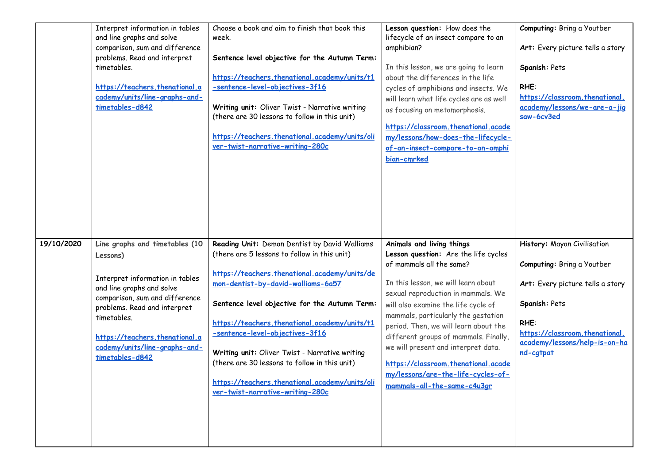|            | Interpret information in tables<br>and line graphs and solve<br>comparison, sum and difference<br>problems. Read and interpret<br>timetables.<br>https://teachers.thenational.a<br>cademy/units/line-graphs-and-<br>timetables-d842                                               | Choose a book and aim to finish that book this<br>week.<br>Sentence level objective for the Autumn Term:<br>https://teachers.thenational.academy/units/t1<br>-sentence-level-objectives-3f16<br>Writing unit: Oliver Twist - Narrative writing<br>(there are 30 lessons to follow in this unit)<br>https://teachers.thenational.academy/units/oli<br>ver-twist-narrative-writing-280c                                                                                                                              | Lesson question: How does the<br>lifecycle of an insect compare to an<br>amphibian?<br>In this lesson, we are going to learn<br>about the differences in the life<br>cycles of amphibians and insects. We<br>will learn what life cycles are as well<br>as focusing on metamorphosis.<br>https://classroom.thenational.acade<br>my/lessons/how-does-the-lifecycle-<br>of-an-insect-compare-to-an-amphi<br>bian-cmrked                                                                         | Computing: Bring a Youtber<br>Art: Every picture tells a story<br>Spanish: Pets<br>RHE:<br>https://classroom.thenational.<br>academy/lessons/we-are-a-jig<br>saw-6cv3ed                                |
|------------|-----------------------------------------------------------------------------------------------------------------------------------------------------------------------------------------------------------------------------------------------------------------------------------|--------------------------------------------------------------------------------------------------------------------------------------------------------------------------------------------------------------------------------------------------------------------------------------------------------------------------------------------------------------------------------------------------------------------------------------------------------------------------------------------------------------------|-----------------------------------------------------------------------------------------------------------------------------------------------------------------------------------------------------------------------------------------------------------------------------------------------------------------------------------------------------------------------------------------------------------------------------------------------------------------------------------------------|--------------------------------------------------------------------------------------------------------------------------------------------------------------------------------------------------------|
| 19/10/2020 | Line graphs and timetables (10<br>Lessons)<br>Interpret information in tables<br>and line graphs and solve<br>comparison, sum and difference<br>problems. Read and interpret<br>timetables.<br>https://teachers.thenational.a<br>cademy/units/line-graphs-and-<br>timetables-d842 | Reading Unit: Demon Dentist by David Walliams<br>(there are 5 lessons to follow in this unit)<br>https://teachers.thenational.academy/units/de<br>mon-dentist-by-david-walliams-6a57<br>Sentence level objective for the Autumn Term:<br>https://teachers.thenational.academy/units/t1<br>-sentence-level-objectives-3f16<br>Writing unit: Oliver Twist - Narrative writing<br>(there are 30 lessons to follow in this unit)<br>https://teachers.thenational.academy/units/oli<br>ver-twist-narrative-writing-280c | Animals and living things<br>Lesson question: Are the life cycles<br>of mammals all the same?<br>In this lesson, we will learn about<br>sexual reproduction in mammals. We<br>will also examine the life cycle of<br>mammals, particularly the gestation<br>period. Then, we will learn about the<br>different groups of mammals. Finally,<br>we will present and interpret data.<br>https://classroom.thenational.acade<br>my/lessons/are-the-life-cycles-of-<br>mammals-all-the-same-c4u3ar | History: Mayan Civilisation<br>Computing: Bring a Youtber<br>Art: Every picture tells a story<br>Spanish: Pets<br>RHE:<br>https://classroom.thenational.<br>academy/lessons/help-is-on-ha<br>nd-catpat |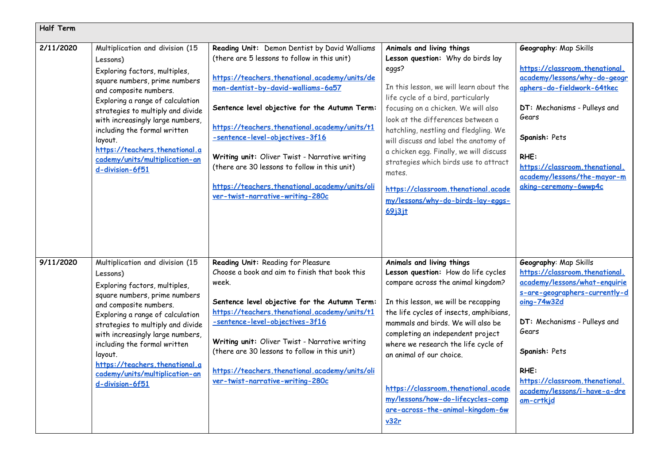| Half Term |                                                                                                                                                                                                                                                                                                                                                                                        |                                                                                                                                                                                                                                                                                                                                                                                                                                                                                                                    |                                                                                                                                                                                                                                                                                                                                                                                                                                                                                                                        |                                                                                                                                                                                                                                                                                           |
|-----------|----------------------------------------------------------------------------------------------------------------------------------------------------------------------------------------------------------------------------------------------------------------------------------------------------------------------------------------------------------------------------------------|--------------------------------------------------------------------------------------------------------------------------------------------------------------------------------------------------------------------------------------------------------------------------------------------------------------------------------------------------------------------------------------------------------------------------------------------------------------------------------------------------------------------|------------------------------------------------------------------------------------------------------------------------------------------------------------------------------------------------------------------------------------------------------------------------------------------------------------------------------------------------------------------------------------------------------------------------------------------------------------------------------------------------------------------------|-------------------------------------------------------------------------------------------------------------------------------------------------------------------------------------------------------------------------------------------------------------------------------------------|
| 2/11/2020 | Multiplication and division (15<br>Lessons)<br>Exploring factors, multiples,<br>square numbers, prime numbers<br>and composite numbers.<br>Exploring a range of calculation<br>strategies to multiply and divide<br>with increasingly large numbers,<br>including the formal written<br>layout.<br>https://teachers.thenational.a<br>cademy/units/multiplication-an<br>d-division-6f51 | Reading Unit: Demon Dentist by David Walliams<br>(there are 5 lessons to follow in this unit)<br>https://teachers.thenational.academy/units/de<br>mon-dentist-by-david-walliams-6a57<br>Sentence level objective for the Autumn Term:<br>https://teachers.thenational.academy/units/t1<br>-sentence-level-objectives-3f16<br>Writing unit: Oliver Twist - Narrative writing<br>(there are 30 lessons to follow in this unit)<br>https://teachers.thenational.academy/units/oli<br>ver-twist-narrative-writing-280c | Animals and living things<br>Lesson question: Why do birds lay<br>eggs?<br>In this lesson, we will learn about the<br>life cycle of a bird, particularly<br>focusing on a chicken. We will also<br>look at the differences between a<br>hatchling, nestling and fledgling. We<br>will discuss and label the anatomy of<br>a chicken egg. Finally, we will discuss<br>strategies which birds use to attract<br>mates.<br>https://classroom.thenational.acade<br>my/lessons/why-do-birds-lay-eggs-<br>6913 <sub>11</sub> | Geography: Map Skills<br>https://classroom.thenational.<br>academy/lessons/why-do-geogr<br>aphers-do-fieldwork-64tkec<br>DT: Mechanisms - Pulleys and<br>Gears<br>Spanish: Pets<br>RHE:<br>https://classroom.thenational.<br>academy/lessons/the-mayor-m<br>aking-ceremony-6wwp4c         |
| 9/11/2020 | Multiplication and division (15<br>Lessons)<br>Exploring factors, multiples,<br>square numbers, prime numbers<br>and composite numbers.<br>Exploring a range of calculation<br>strategies to multiply and divide<br>with increasingly large numbers,<br>including the formal written<br>layout.<br>https://teachers.thenational.a<br>cademy/units/multiplication-an<br>d-division-6f51 | Reading Unit: Reading for Pleasure<br>Choose a book and aim to finish that book this<br>week.<br>Sentence level objective for the Autumn Term:<br>https://teachers.thenational.academy/units/t1<br>-sentence-level-objectives-3f16<br>Writing unit: Oliver Twist - Narrative writing<br>(there are 30 lessons to follow in this unit)<br>https://teachers.thenational.academy/units/oli<br>ver-twist-narrative-writing-280c                                                                                        | Animals and living things<br>Lesson question: How do life cycles<br>compare across the animal kingdom?<br>In this lesson, we will be recapping<br>the life cycles of insects, amphibians,<br>mammals and birds. We will also be<br>completing an independent project<br>where we research the life cycle of<br>an animal of our choice.<br>https://classroom.thenational.acade<br>my/lessons/how-do-lifecycles-comp<br>are-across-the-animal-kingdom-6w<br>v32r                                                        | Geography: Map Skills<br>https://classroom.thenational.<br>academy/lessons/what-enquirie<br>s-are-geographers-currently-d<br>oing-74w32d<br>DT: Mechanisms - Pulleys and<br>Gears<br>Spanish: Pets<br>RHE:<br>https://classroom.thenational.<br>academy/lessons/i-have-a-dre<br>am-crtkid |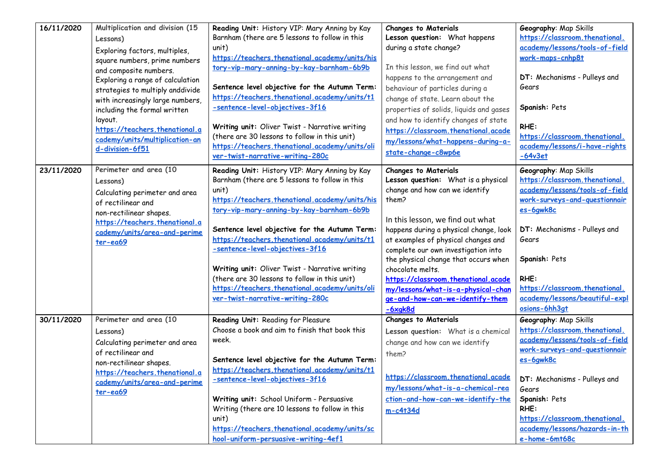| 16/11/2020 | Multiplication and division (15<br>Lessons)<br>Exploring factors, multiples,<br>square numbers, prime numbers<br>and composite numbers.<br>Exploring a range of calculation<br>strategies to multiply anddivide<br>with increasingly large numbers, | Reading Unit: History VIP: Mary Anning by Kay<br>Barnham (there are 5 lessons to follow in this<br>unit)<br>https://teachers.thenational.academy/units/his<br>tory-vip-mary-anning-by-kay-barnham-6b9b<br>Sentence level objective for the Autumn Term:<br>https://teachers.thenational.academy/units/t1                                                                                                                                                                            | <b>Changes to Materials</b><br>Lesson question: What happens<br>during a state change?<br>In this lesson, we find out what<br>happens to the arrangement and<br>behaviour of particles during a<br>change of state. Learn about the                                                                                                                                                                                                 | Geography: Map Skills<br>https://classroom.thenational.<br>academy/lessons/tools-of-field<br>work-maps-cnhp8t<br>DT: Mechanisms - Pulleys and<br>Gears                                                                                                                                        |
|------------|-----------------------------------------------------------------------------------------------------------------------------------------------------------------------------------------------------------------------------------------------------|-------------------------------------------------------------------------------------------------------------------------------------------------------------------------------------------------------------------------------------------------------------------------------------------------------------------------------------------------------------------------------------------------------------------------------------------------------------------------------------|-------------------------------------------------------------------------------------------------------------------------------------------------------------------------------------------------------------------------------------------------------------------------------------------------------------------------------------------------------------------------------------------------------------------------------------|-----------------------------------------------------------------------------------------------------------------------------------------------------------------------------------------------------------------------------------------------------------------------------------------------|
| 23/11/2020 | including the formal written<br>layout.<br>https://teachers.thenational.a<br>cademy/units/multiplication-an<br>d-division-6f51<br>Perimeter and area (10                                                                                            | -sentence-level-objectives-3f16<br>Writing unit: Oliver Twist - Narrative writing<br>(there are 30 lessons to follow in this unit)<br>https://teachers.thenational.academy/units/oli<br>ver-twist-narrative-writing-280c<br>Reading Unit: History VIP: Mary Anning by Kay                                                                                                                                                                                                           | properties of solids, liquids and gases<br>and how to identify changes of state<br>https://classroom.thenational.acade<br>my/lessons/what-happens-during-a-<br>state-change-c8wp6e<br><b>Changes to Materials</b>                                                                                                                                                                                                                   | Spanish: Pets<br>RHE:<br>https://classroom.thenational.<br>academy/lessons/i-have-rights<br>$-64v3et$<br>Geography: Map Skills                                                                                                                                                                |
|            | Lessons)<br>Calculating perimeter and area<br>of rectilinear and<br>non-rectilinear shapes.<br>https://teachers.thenational.a<br>cademy/units/area-and-perime<br>$ter-ea69$                                                                         | Barnham (there are 5 lessons to follow in this<br>unit)<br>https://teachers.thenational.academy/units/his<br>tory-vip-mary-anning-by-kay-barnham-6b9b<br>Sentence level objective for the Autumn Term:<br>https://teachers.thenational.academy/units/t1<br>-sentence-level-objectives-3f16<br>Writing unit: Oliver Twist - Narrative writing<br>(there are 30 lessons to follow in this unit)<br>https://teachers.thenational.academy/units/oli<br>ver-twist-narrative-writing-280c | Lesson question: What is a physical<br>change and how can we identify<br>them?<br>In this lesson, we find out what<br>happens during a physical change, look<br>at examples of physical changes and<br>complete our own investigation into<br>the physical change that occurs when<br>chocolate melts.<br>https://classroom.thenational.acade<br>my/lessons/what-is-a-physical-chan<br>ge-and-how-can-we-identify-them<br>$-6xqk8d$ | https://classroom.thenational.<br>academy/lessons/tools-of-field<br>work-surveys-and-questionnair<br>es-6qwk8c<br>DT: Mechanisms - Pulleys and<br>Gears<br>Spanish: Pets<br>RHE:<br>https://classroom.thenational.<br>academy/lessons/beautiful-expl<br>osions-6hh3qt                         |
| 30/11/2020 | Perimeter and area (10<br>Lessons)<br>Calculating perimeter and area<br>of rectilinear and<br>non-rectilinear shapes.<br>https://teachers.thenational.a<br>cademy/units/area-and-perime<br>$ter-ea69$                                               | Reading Unit: Reading for Pleasure<br>Choose a book and aim to finish that book this<br>week.<br>Sentence level objective for the Autumn Term:<br>https://teachers.thenational.academy/units/t1<br>-sentence-level-objectives-3f16<br>Writing unit: School Uniform - Persuasive<br>Writing (there are 10 lessons to follow in this<br>unit)<br>https://teachers.thenational.academy/units/sc<br>hool-uniform-persuasive-writing-4ef1                                                | <b>Changes to Materials</b><br>Lesson question: What is a chemical<br>change and how can we identify<br>them?<br>https://classroom.thenational.acade<br>my/lessons/what-is-a-chemical-rea<br>ction-and-how-can-we-identify-the<br>$m-c4t34d$                                                                                                                                                                                        | Geography: Map Skills<br>https://classroom.thenational.<br>academy/lessons/tools-of-field<br>work-surveys-and-questionnair<br>es-6awk8c<br>DT: Mechanisms - Pulleys and<br>Gears<br>Spanish: Pets<br>RHE:<br>https://classroom.thenational.<br>academy/lessons/hazards-in-th<br>e-home-6mt68c |